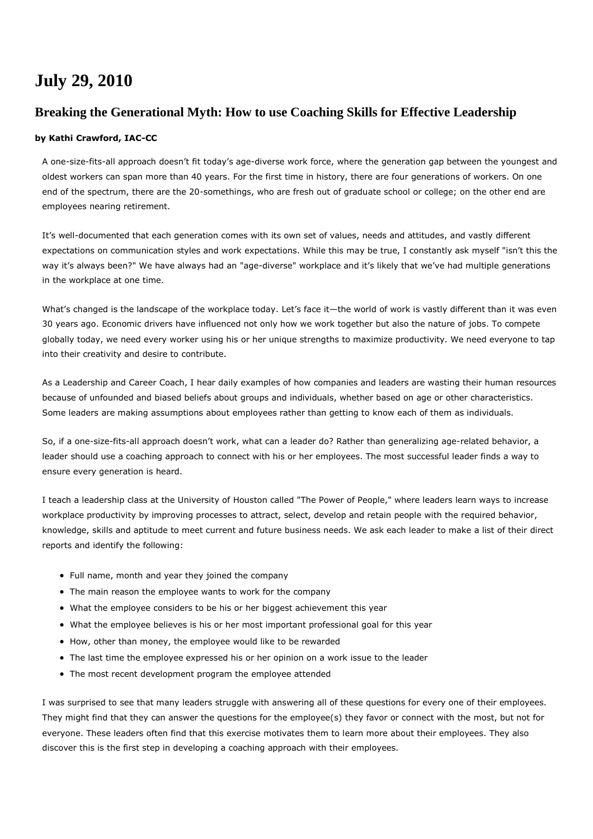## **July 29, 2010**

## **Breaking the Generational Myth: How to use Coaching Skills for Effective Leadership**

## **by Kathi Crawford, IAC-CC**

A one-size-fits-all approach doesn't fit today's age-diverse work force, where the generation gap between the youngest and oldest workers can span more than 40 years. For the first time in history, there are four generations of workers. On one end of the spectrum, there are the 20-somethings, who are fresh out of graduate school or college; on the other end are employees nearing retirement.

It's well-documented that each generation comes with its own set of values, needs and attitudes, and vastly different expectations on communication styles and work expectations. While this may be true, I constantly ask myself "isn't this the way it's always been?" We have always had an "age-diverse" workplace and it's likely that we've had multiple generations in the workplace at one time.

What's changed is the landscape of the workplace today. Let's face it—the world of work is vastly different than it was even 30 years ago. Economic drivers have influenced not only how we work together but also the nature of jobs. To compete globally today, we need every worker using his or her unique strengths to maximize productivity. We need everyone to tap into their creativity and desire to contribute.

As a Leadership and Career Coach, I hear daily examples of how companies and leaders are wasting their human resources because of unfounded and biased beliefs about groups and individuals, whether based on age or other characteristics. Some leaders are making assumptions about employees rather than getting to know each of them as individuals.

So, if a one-size-fits-all approach doesn't work, what can a leader do? Rather than generalizing age-related behavior, a leader should use a coaching approach to connect with his or her employees. The most successful leader finds a way to ensure every generation is heard.

I teach a leadership class at the University of Houston called "The Power of People," where leaders learn ways to increase workplace productivity by improving processes to attract, select, develop and retain people with the required behavior, knowledge, skills and aptitude to meet current and future business needs. We ask each leader to make a list of their direct reports and identify the following:

- Full name, month and year they joined the company
- The main reason the employee wants to work for the company
- What the employee considers to be his or her biggest achievement this year
- What the employee believes is his or her most important professional goal for this year
- How, other than money, the employee would like to be rewarded
- The last time the employee expressed his or her opinion on a work issue to the leader
- The most recent development program the employee attended

I was surprised to see that many leaders struggle with answering all of these questions for every one of their employees. They might find that they can answer the questions for the employee(s) they favor or connect with the most, but not for everyone. These leaders often find that this exercise motivates them to learn more about their employees. They also discover this is the first step in developing a coaching approach with their employees.